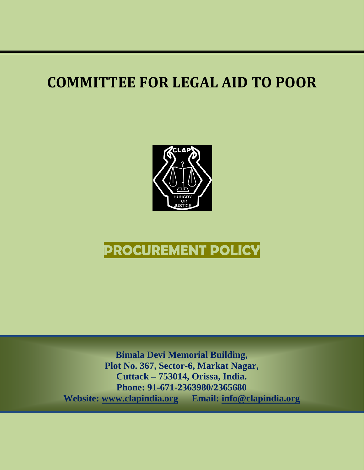## **COMMITTEE FOR LEGAL AID TO POOR**



## **PROCUREMENT POLICY**

**Bimala Devi Memorial Building, Plot No. 367, Sector-6, Markat Nagar, Cuttack – 753014, Orissa, India. Phone: 91-671-2363980/2365680 Website: [www.clapindia.org](http://www.clapindia.org/) Email: [info@clapindia.org](mailto:info@clapindia.org)**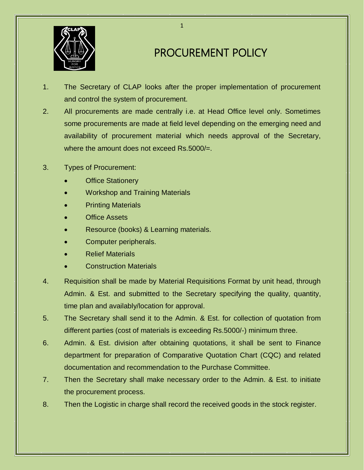

## PROCUREMENT POLICY

- 1. The Secretary of CLAP looks after the proper implementation of procurement and control the system of procurement.
- 2. All procurements are made centrally i.e. at Head Office level only. Sometimes some procurements are made at field level depending on the emerging need and availability of procurement material which needs approval of the Secretary, where the amount does not exceed Rs.5000/=.
- 3. Types of Procurement:
	- Office Stationery
	- Workshop and Training Materials
	- Printing Materials
	- Office Assets
	- Resource (books) & Learning materials.
	- Computer peripherals.
	- Relief Materials
	- Construction Materials
- 4. Requisition shall be made by Material Requisitions Format by unit head, through Admin. & Est. and submitted to the Secretary specifying the quality, quantity, time plan and availably/location for approval.
- 5. The Secretary shall send it to the Admin. & Est. for collection of quotation from different parties (cost of materials is exceeding Rs.5000/-) minimum three.
- 6. Admin. & Est. division after obtaining quotations, it shall be sent to Finance department for preparation of Comparative Quotation Chart (CQC) and related documentation and recommendation to the Purchase Committee.
- 7. Then the Secretary shall make necessary order to the Admin. & Est. to initiate the procurement process.
- 8. Then the Logistic in charge shall record the received goods in the stock register.

1